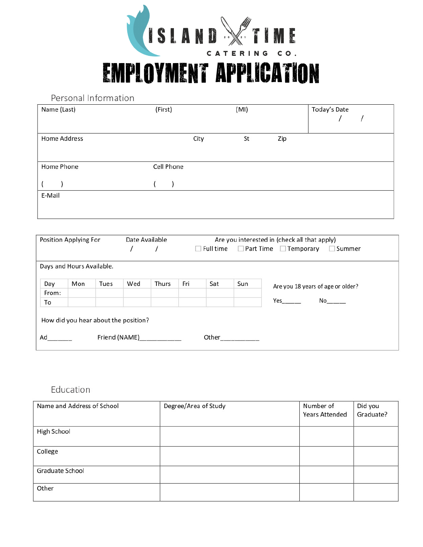

**EMPLOYMENT APPLICATION** 

Personal Information

| Name (Last)         | (First)    |      | (MI) |     | Today's Date |  |
|---------------------|------------|------|------|-----|--------------|--|
| <b>Home Address</b> |            | City | St   | Zip |              |  |
| Home Phone          | Cell Phone |      |      |     |              |  |
|                     |            |      |      |     |              |  |
| E-Mail              |            |      |      |     |              |  |
|                     |            |      |      |     |              |  |

| Position Applying For                             |                           |      | Date Available<br>Are you interested in (check all that apply) |       |                                                       |     |        |                                   |
|---------------------------------------------------|---------------------------|------|----------------------------------------------------------------|-------|-------------------------------------------------------|-----|--------|-----------------------------------|
|                                                   |                           |      |                                                                |       | $\Box$ Part Time $\Box$ Temporary<br>$\Box$ Full time |     | Summer |                                   |
|                                                   |                           |      |                                                                |       |                                                       |     |        |                                   |
|                                                   | Days and Hours Available. |      |                                                                |       |                                                       |     |        |                                   |
| Day                                               | Mon                       | Tues | Wed                                                            | Thurs | Fri                                                   | Sat | Sun    | Are you 18 years of age or older? |
| From:                                             |                           |      |                                                                |       |                                                       |     |        |                                   |
| To                                                |                           |      |                                                                |       |                                                       |     |        | Yes                               |
|                                                   |                           |      |                                                                |       |                                                       |     |        |                                   |
| How did you hear about the position?              |                           |      |                                                                |       |                                                       |     |        |                                   |
| Ad<br>Friend (NAME)<br>Other<br><b>CONTRACTOR</b> |                           |      |                                                                |       |                                                       |     |        |                                   |
|                                                   |                           |      |                                                                |       |                                                       |     |        |                                   |

# Education

| Name and Address of School | Degree/Area of Study | Number of             | Did you   |
|----------------------------|----------------------|-----------------------|-----------|
|                            |                      | <b>Years Attended</b> | Graduate? |
|                            |                      |                       |           |
| High School                |                      |                       |           |
|                            |                      |                       |           |
| College                    |                      |                       |           |
|                            |                      |                       |           |
| Graduate School            |                      |                       |           |
|                            |                      |                       |           |
| Other                      |                      |                       |           |
|                            |                      |                       |           |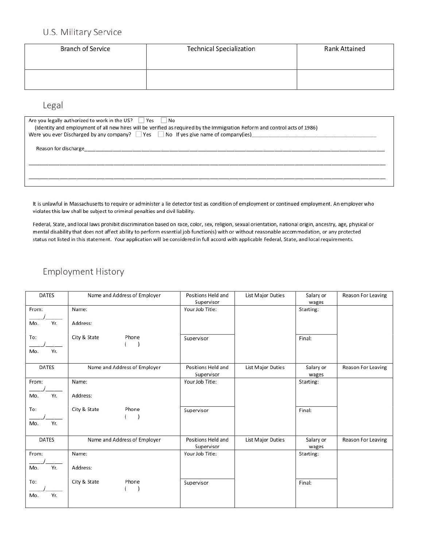## U.S. Military Service

| <b>Branch of Service</b> | <b>Technical Specialization</b> | <b>Rank Attained</b> |
|--------------------------|---------------------------------|----------------------|
|                          |                                 |                      |

#### Legal

| Are you legally authorized to work in the US? Yes No<br>(Identity and employment of all new hires will be verified as required by the Immigration Reform and control acts of 1986)<br>Were you ever Discharged by any company? $\Box$ Yes $\Box$ No If yes give name of company(ies) |
|--------------------------------------------------------------------------------------------------------------------------------------------------------------------------------------------------------------------------------------------------------------------------------------|
|                                                                                                                                                                                                                                                                                      |
|                                                                                                                                                                                                                                                                                      |
|                                                                                                                                                                                                                                                                                      |

It is unlawful in Massachusetts to require or administer a lie detector test as condition of employment or continued employment. An employer who violates this law shall be subject to criminal penalties and civil liability.

Federal, State, and local laws prohibit discrimination based on race, color, sex, religion, sexual orientation, national origin, ancestry, age, physical or mental disability that does not affect ability to perform essential job function(s) with or without reasonable accommodation, or any protected status not listed in this statement. Your application will be considered in full accord with applicable Federal, State, and local requirements.

#### **Employment History**

| <b>DATES</b>        | Name and Address of Employer | Positions Held and<br>Supervisor | List Major Duties | Salary or<br>wages | <b>Reason For Leaving</b> |
|---------------------|------------------------------|----------------------------------|-------------------|--------------------|---------------------------|
| From:<br>Yr.<br>Mo. | Name:<br>Address:            | Your Job Title:                  |                   | Starting:          |                           |
| To:<br>Yr.<br>Mo.   | City & State<br>Phone        | Supervisor                       |                   | Final:             |                           |
| <b>DATES</b>        | Name and Address of Employer | Positions Held and<br>Supervisor | List Major Duties | Salary or<br>wages | <b>Reason For Leaving</b> |
| From:<br>Yr.<br>Mo. | Name:<br>Address:            | Your Job Title:                  |                   | Starting:          |                           |
| To:<br>Yr.<br>Mo.   | City & State<br>Phone        | Supervisor                       |                   | Final:             |                           |
| <b>DATES</b>        | Name and Address of Employer | Positions Held and<br>Supervisor | List Major Duties | Salary or<br>wages | <b>Reason For Leaving</b> |
| From:<br>Yr.<br>Mo. | Name:<br>Address:            | Your Job Title:                  |                   | Starting:          |                           |
| To:<br>Yr.<br>Mo.   | City & State<br>Phone        | Supervisor                       |                   | Final:             |                           |